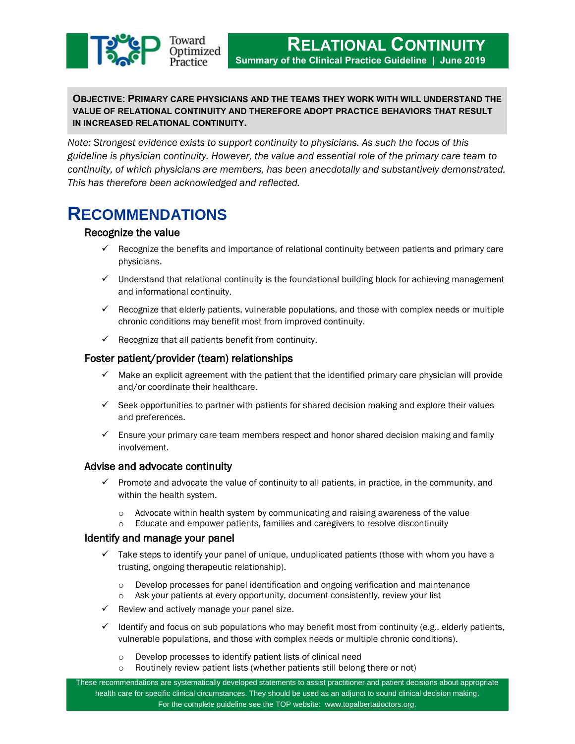

# **OBJECTIVE: PRIMARY CARE PHYSICIANS AND THE TEAMS THEY WORK WITH WILL UNDERSTAND THE VALUE OF RELATIONAL CONTINUITY AND THEREFORE ADOPT PRACTICE BEHAVIORS THAT RESULT IN INCREASED RELATIONAL CONTINUITY.**

*Note: Strongest evidence exists to support continuity to physicians. As such the focus of this guideline is physician continuity. However, the value and essential role of the primary care team to continuity, of which physicians are members, has been anecdotally and substantively demonstrated. This has therefore been acknowledged and reflected.*

# **RECOMMENDATIONS**

# Recognize the value

- $\checkmark$  Recognize the benefits and importance of relational continuity between patients and primary care physicians.
- $\checkmark$  Understand that relational continuity is the foundational building block for achieving management and informational continuity.
- $\checkmark$  Recognize that elderly patients, vulnerable populations, and those with complex needs or multiple chronic conditions may benefit most from improved continuity.
- $\checkmark$  Recognize that all patients benefit from continuity.

# Foster patient/provider (team) relationships

- $\checkmark$  Make an explicit agreement with the patient that the identified primary care physician will provide and/or coordinate their healthcare.
- $\checkmark$  Seek opportunities to partner with patients for shared decision making and explore their values and preferences.
- $\checkmark$  Ensure your primary care team members respect and honor shared decision making and family involvement.

# Advise and advocate continuity

- $\checkmark$  Promote and advocate the value of continuity to all patients, in practice, in the community, and within the health system.
	- $\circ$  Advocate within health system by communicating and raising awareness of the value
	- o Educate and empower patients, families and caregivers to resolve discontinuity

# Identify and manage your panel

- $\checkmark$  Take steps to identify your panel of unique, unduplicated patients (those with whom you have a trusting, ongoing therapeutic relationship).
	- o Develop processes for panel identification and ongoing verification and maintenance
	- o Ask your patients at every opportunity, document consistently, review your list
- $\checkmark$  Review and actively manage your panel size.
- $\checkmark$  Identify and focus on sub populations who may benefit most from continuity (e.g., elderly patients, vulnerable populations, and those with complex needs or multiple chronic conditions).
	- o Develop processes to identify patient lists of clinical need
	- o Routinely review patient lists (whether patients still belong there or not)

These recommendations are systematically developed statements to assist practitioner and patient decisions about appropriate health care for specific clinical circumstances. They should be used as an adjunct to sound clinical decision making. For the complete guideline see the TOP website: [www.topalbertadoctors.org.](http://www.topalbertadoctors.org/)